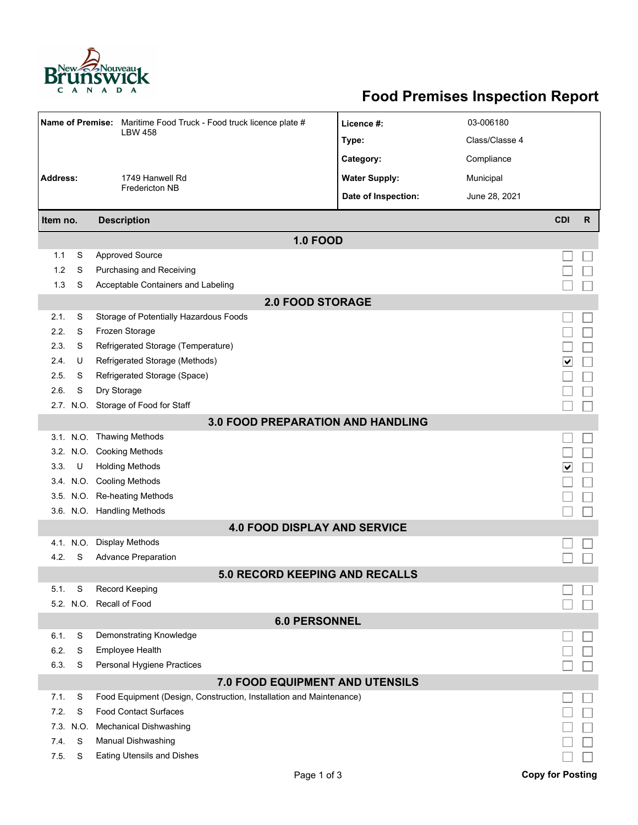

## **Food Premises Inspection Report**

|                         |          | Name of Premise: Maritime Food Truck - Food truck licence plate #<br><b>LBW 458</b>                           | Licence #:           | 03-006180      |                         |              |  |  |  |  |  |
|-------------------------|----------|---------------------------------------------------------------------------------------------------------------|----------------------|----------------|-------------------------|--------------|--|--|--|--|--|
|                         |          |                                                                                                               | Type:                | Class/Classe 4 |                         |              |  |  |  |  |  |
|                         |          |                                                                                                               | Category:            | Compliance     |                         |              |  |  |  |  |  |
| <b>Address:</b>         |          | 1749 Hanwell Rd                                                                                               | <b>Water Supply:</b> | Municipal      |                         |              |  |  |  |  |  |
|                         |          | <b>Fredericton NB</b>                                                                                         | Date of Inspection:  | June 28, 2021  |                         |              |  |  |  |  |  |
| Item no.                |          | <b>Description</b>                                                                                            |                      |                | <b>CDI</b>              | $\mathsf{R}$ |  |  |  |  |  |
| <b>1.0 FOOD</b>         |          |                                                                                                               |                      |                |                         |              |  |  |  |  |  |
| 1.1                     | S        | <b>Approved Source</b>                                                                                        |                      |                |                         |              |  |  |  |  |  |
| 1.2                     | S        | Purchasing and Receiving                                                                                      |                      |                |                         |              |  |  |  |  |  |
| 1.3                     | S        | Acceptable Containers and Labeling                                                                            |                      |                |                         |              |  |  |  |  |  |
| <b>2.0 FOOD STORAGE</b> |          |                                                                                                               |                      |                |                         |              |  |  |  |  |  |
| 2.1.                    | S        | Storage of Potentially Hazardous Foods                                                                        |                      |                |                         |              |  |  |  |  |  |
| 2.2.                    | S        | Frozen Storage                                                                                                |                      |                |                         |              |  |  |  |  |  |
| 2.3.                    | S        | Refrigerated Storage (Temperature)                                                                            |                      |                |                         |              |  |  |  |  |  |
| 2.4.                    | U        | Refrigerated Storage (Methods)                                                                                |                      |                | ∨                       |              |  |  |  |  |  |
| 2.5.                    | S        | Refrigerated Storage (Space)                                                                                  |                      |                |                         |              |  |  |  |  |  |
| 2.6.                    | S        | Dry Storage                                                                                                   |                      |                |                         |              |  |  |  |  |  |
|                         |          | 2.7. N.O. Storage of Food for Staff                                                                           |                      |                |                         |              |  |  |  |  |  |
|                         |          | <b>3.0 FOOD PREPARATION AND HANDLING</b>                                                                      |                      |                |                         |              |  |  |  |  |  |
|                         |          | 3.1. N.O. Thawing Methods                                                                                     |                      |                |                         |              |  |  |  |  |  |
|                         |          | 3.2. N.O. Cooking Methods                                                                                     |                      |                |                         |              |  |  |  |  |  |
| 3.3.                    | U        | <b>Holding Methods</b>                                                                                        |                      |                | ∨                       |              |  |  |  |  |  |
|                         |          | 3.4. N.O. Cooling Methods                                                                                     |                      |                |                         |              |  |  |  |  |  |
|                         |          | 3.5. N.O. Re-heating Methods                                                                                  |                      |                |                         |              |  |  |  |  |  |
|                         |          | 3.6. N.O. Handling Methods                                                                                    |                      |                |                         |              |  |  |  |  |  |
|                         |          | <b>4.0 FOOD DISPLAY AND SERVICE</b>                                                                           |                      |                |                         |              |  |  |  |  |  |
|                         | 4.1 N.O. | <b>Display Methods</b>                                                                                        |                      |                |                         |              |  |  |  |  |  |
| 4.2.                    | S        | <b>Advance Preparation</b>                                                                                    |                      |                |                         |              |  |  |  |  |  |
|                         |          | <b>5.0 RECORD KEEPING AND RECALLS</b>                                                                         |                      |                |                         |              |  |  |  |  |  |
| 5.1.                    | S        | Record Keeping                                                                                                |                      |                |                         |              |  |  |  |  |  |
|                         |          | 5.2. N.O. Recall of Food                                                                                      |                      |                |                         |              |  |  |  |  |  |
|                         |          | <b>6.0 PERSONNEL</b>                                                                                          |                      |                |                         |              |  |  |  |  |  |
| 6.1.                    | S        | Demonstrating Knowledge                                                                                       |                      |                |                         |              |  |  |  |  |  |
| 6.2.<br>6.3.            | S<br>S   | Employee Health<br>Personal Hygiene Practices                                                                 |                      |                |                         |              |  |  |  |  |  |
|                         |          |                                                                                                               |                      |                |                         |              |  |  |  |  |  |
| 7.1.                    | S        | <b>7.0 FOOD EQUIPMENT AND UTENSILS</b><br>Food Equipment (Design, Construction, Installation and Maintenance) |                      |                |                         |              |  |  |  |  |  |
| 7.2.                    | S        | <b>Food Contact Surfaces</b>                                                                                  |                      |                |                         |              |  |  |  |  |  |
| 7.3.                    | N.O.     | <b>Mechanical Dishwashing</b>                                                                                 |                      |                |                         |              |  |  |  |  |  |
| 7.4.                    | S        | Manual Dishwashing                                                                                            |                      |                |                         |              |  |  |  |  |  |
| 7.5.                    | S        | Eating Utensils and Dishes                                                                                    |                      |                |                         |              |  |  |  |  |  |
|                         |          | Page 1 of 3                                                                                                   |                      |                | <b>Copy for Posting</b> |              |  |  |  |  |  |
|                         |          |                                                                                                               |                      |                |                         |              |  |  |  |  |  |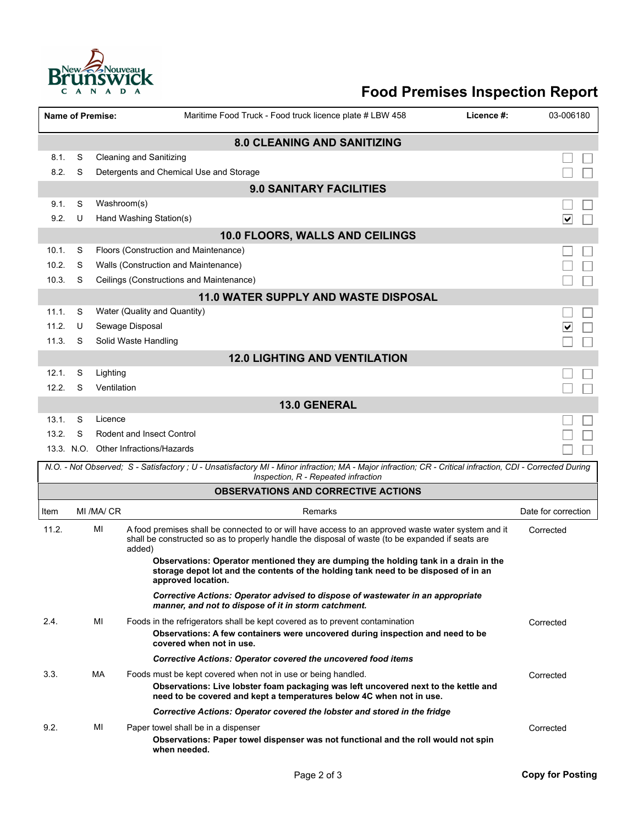

## **Food Premises Inspection Report**

| <b>Name of Premise:</b>                     |                                |             |                                                                          | Maritime Food Truck - Food truck licence plate # LBW 458                                                                                                                                                                    | Licence #: | 03-006180                       |  |  |  |  |  |  |  |
|---------------------------------------------|--------------------------------|-------------|--------------------------------------------------------------------------|-----------------------------------------------------------------------------------------------------------------------------------------------------------------------------------------------------------------------------|------------|---------------------------------|--|--|--|--|--|--|--|
| <b>8.0 CLEANING AND SANITIZING</b>          |                                |             |                                                                          |                                                                                                                                                                                                                             |            |                                 |  |  |  |  |  |  |  |
| 8.1.                                        | S                              |             | <b>Cleaning and Sanitizing</b>                                           |                                                                                                                                                                                                                             |            |                                 |  |  |  |  |  |  |  |
| 8.2.                                        | S                              |             |                                                                          | Detergents and Chemical Use and Storage                                                                                                                                                                                     |            |                                 |  |  |  |  |  |  |  |
|                                             | <b>9.0 SANITARY FACILITIES</b> |             |                                                                          |                                                                                                                                                                                                                             |            |                                 |  |  |  |  |  |  |  |
| 9.1.                                        | S                              |             | Washroom(s)                                                              |                                                                                                                                                                                                                             |            |                                 |  |  |  |  |  |  |  |
| 9.2.                                        | U                              |             | Hand Washing Station(s)                                                  |                                                                                                                                                                                                                             |            | $\overline{\blacktriangledown}$ |  |  |  |  |  |  |  |
|                                             |                                |             |                                                                          | 10.0 FLOORS, WALLS AND CEILINGS                                                                                                                                                                                             |            |                                 |  |  |  |  |  |  |  |
| 10.1.                                       | S                              |             |                                                                          | Floors (Construction and Maintenance)                                                                                                                                                                                       |            |                                 |  |  |  |  |  |  |  |
| 10.2.                                       | S                              |             |                                                                          | Walls (Construction and Maintenance)                                                                                                                                                                                        |            |                                 |  |  |  |  |  |  |  |
| 10.3.                                       | S                              |             |                                                                          | Ceilings (Constructions and Maintenance)                                                                                                                                                                                    |            |                                 |  |  |  |  |  |  |  |
| <b>11.0 WATER SUPPLY AND WASTE DISPOSAL</b> |                                |             |                                                                          |                                                                                                                                                                                                                             |            |                                 |  |  |  |  |  |  |  |
| 11.1.                                       | S                              |             |                                                                          | Water (Quality and Quantity)                                                                                                                                                                                                |            |                                 |  |  |  |  |  |  |  |
| 11.2.                                       | U                              |             | Sewage Disposal                                                          |                                                                                                                                                                                                                             |            | ∣∨                              |  |  |  |  |  |  |  |
| 11.3.                                       | S                              |             | Solid Waste Handling                                                     |                                                                                                                                                                                                                             |            |                                 |  |  |  |  |  |  |  |
| <b>12.0 LIGHTING AND VENTILATION</b>        |                                |             |                                                                          |                                                                                                                                                                                                                             |            |                                 |  |  |  |  |  |  |  |
| 12.1.                                       | S                              | Lighting    |                                                                          |                                                                                                                                                                                                                             |            |                                 |  |  |  |  |  |  |  |
| 12.2.                                       | S                              | Ventilation |                                                                          |                                                                                                                                                                                                                             |            |                                 |  |  |  |  |  |  |  |
| <b>13.0 GENERAL</b>                         |                                |             |                                                                          |                                                                                                                                                                                                                             |            |                                 |  |  |  |  |  |  |  |
| 13.1.                                       | S                              | Licence     |                                                                          |                                                                                                                                                                                                                             |            |                                 |  |  |  |  |  |  |  |
| 13.2.                                       | S                              |             | <b>Rodent and Insect Control</b><br>13.3. N.O. Other Infractions/Hazards |                                                                                                                                                                                                                             |            |                                 |  |  |  |  |  |  |  |
|                                             |                                |             |                                                                          |                                                                                                                                                                                                                             |            |                                 |  |  |  |  |  |  |  |
|                                             |                                |             |                                                                          | N.O. - Not Observed; S - Satisfactory ; U - Unsatisfactory MI - Minor infraction; MA - Major infraction; CR - Critical infraction, CDI - Corrected During<br>Inspection, R - Repeated infraction                            |            |                                 |  |  |  |  |  |  |  |
|                                             |                                |             |                                                                          | <b>OBSERVATIONS AND CORRECTIVE ACTIONS</b>                                                                                                                                                                                  |            |                                 |  |  |  |  |  |  |  |
| Item                                        |                                | MI /MA/ CR  |                                                                          | Remarks                                                                                                                                                                                                                     |            | Date for correction             |  |  |  |  |  |  |  |
| 11.2.                                       |                                | MI          | added)                                                                   | A food premises shall be connected to or will have access to an approved waste water system and it<br>shall be constructed so as to properly handle the disposal of waste (to be expanded if seats are                      |            | Corrected                       |  |  |  |  |  |  |  |
|                                             |                                |             |                                                                          | Observations: Operator mentioned they are dumping the holding tank in a drain in the<br>storage depot lot and the contents of the holding tank need to be disposed of in an<br>approved location.                           |            |                                 |  |  |  |  |  |  |  |
|                                             |                                |             |                                                                          | Corrective Actions: Operator advised to dispose of wastewater in an appropriate<br>manner, and not to dispose of it in storm catchment.                                                                                     |            |                                 |  |  |  |  |  |  |  |
| 2.4.                                        |                                | MI          |                                                                          | Foods in the refrigerators shall be kept covered as to prevent contamination<br>Observations: A few containers were uncovered during inspection and need to be<br>covered when not in use.                                  |            | Corrected                       |  |  |  |  |  |  |  |
|                                             |                                |             |                                                                          | <b>Corrective Actions: Operator covered the uncovered food items</b>                                                                                                                                                        |            |                                 |  |  |  |  |  |  |  |
| 3.3.                                        |                                | МA          |                                                                          | Foods must be kept covered when not in use or being handled.<br>Observations: Live lobster foam packaging was left uncovered next to the kettle and<br>need to be covered and kept a temperatures below 4C when not in use. |            | Corrected                       |  |  |  |  |  |  |  |
|                                             |                                |             |                                                                          | Corrective Actions: Operator covered the lobster and stored in the fridge                                                                                                                                                   |            |                                 |  |  |  |  |  |  |  |
| 9.2.                                        |                                | ΜI          |                                                                          | Paper towel shall be in a dispenser<br>Observations: Paper towel dispenser was not functional and the roll would not spin<br>when needed.                                                                                   |            | Corrected                       |  |  |  |  |  |  |  |